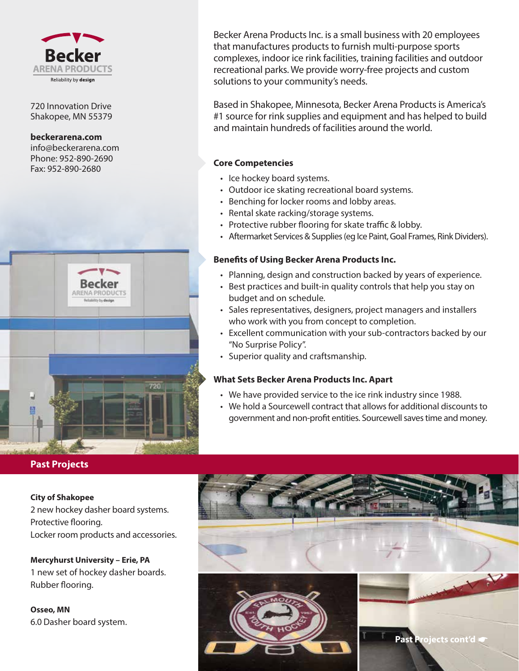

720 Innovation Drive Shakopee, MN 55379

**beckerarena.com**

info@beckerarena.com Phone: 952-890-2690 Fax: 952-890-2680



## **Past Projects**

#### **City of Shakopee**

2 new hockey dasher board systems. Protective flooring. Locker room products and accessories.

**Mercyhurst University – Erie, PA** 1 new set of hockey dasher boards. Rubber flooring.

**Osseo, MN** 6.0 Dasher board system.

Becker Arena Products Inc. is a small business with 20 employees that manufactures products to furnish multi-purpose sports complexes, indoor ice rink facilities, training facilities and outdoor recreational parks. We provide worry-free projects and custom solutions to your community's needs.

Based in Shakopee, Minnesota, Becker Arena Products is America's #1 source for rink supplies and equipment and has helped to build and maintain hundreds of facilities around the world.

### **Core Competencies**

- Ice hockey board systems.
- Outdoor ice skating recreational board systems.
- Benching for locker rooms and lobby areas.
- Rental skate racking/storage systems.
- Protective rubber flooring for skate traffic & lobby.
- Aftermarket Services & Supplies (eg Ice Paint, Goal Frames, Rink Dividers).

#### **Benefits of Using Becker Arena Products Inc.**

- Planning, design and construction backed by years of experience.
- Best practices and built-in quality controls that help you stay on budget and on schedule.
- Sales representatives, designers, project managers and installers who work with you from concept to completion.
- Excellent communication with your sub-contractors backed by our "No Surprise Policy".
- Superior quality and craftsmanship.

### **What Sets Becker Arena Products Inc. Apart**

- We have provided service to the ice rink industry since 1988.
- We hold a Sourcewell contract that allows for additional discounts to government and non-profit entities. Sourcewell saves time and money.